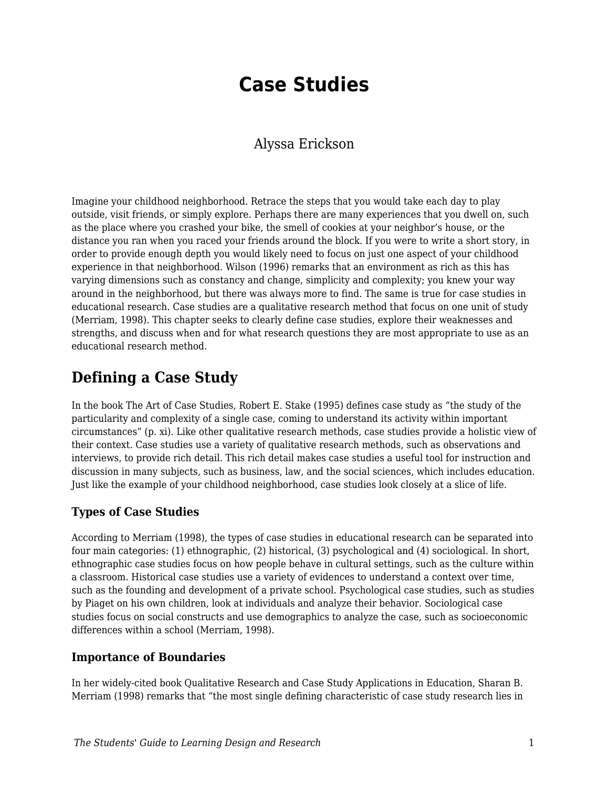# **Case Studies**

#### Alyssa Erickson

Imagine your childhood neighborhood. Retrace the steps that you would take each day to play outside, visit friends, or simply explore. Perhaps there are many experiences that you dwell on, such as the place where you crashed your bike, the smell of cookies at your neighbor's house, or the distance you ran when you raced your friends around the block. If you were to write a short story, in order to provide enough depth you would likely need to focus on just one aspect of your childhood experience in that neighborhood. Wilson (1996) remarks that an environment as rich as this has varying dimensions such as constancy and change, simplicity and complexity; you knew your way around in the neighborhood, but there was always more to find. The same is true for case studies in educational research. Case studies are a qualitative research method that focus on one unit of study (Merriam, 1998). This chapter seeks to clearly define case studies, explore their weaknesses and strengths, and discuss when and for what research questions they are most appropriate to use as an educational research method.

# **Defining a Case Study**

In the book The Art of Case Studies, Robert E. Stake (1995) defines case study as "the study of the particularity and complexity of a single case, coming to understand its activity within important circumstances" (p. xi). Like other qualitative research methods, case studies provide a holistic view of their context. Case studies use a variety of qualitative research methods, such as observations and interviews, to provide rich detail. This rich detail makes case studies a useful tool for instruction and discussion in many subjects, such as business, law, and the social sciences, which includes education. Just like the example of your childhood neighborhood, case studies look closely at a slice of life.

#### **Types of Case Studies**

According to Merriam (1998), the types of case studies in educational research can be separated into four main categories: (1) ethnographic, (2) historical, (3) psychological and (4) sociological. In short, ethnographic case studies focus on how people behave in cultural settings, such as the culture within a classroom. Historical case studies use a variety of evidences to understand a context over time, such as the founding and development of a private school. Psychological case studies, such as studies by Piaget on his own children, look at individuals and analyze their behavior. Sociological case studies focus on social constructs and use demographics to analyze the case, such as socioeconomic differences within a school (Merriam, 1998).

#### **Importance of Boundaries**

In her widely-cited book Qualitative Research and Case Study Applications in Education, Sharan B. Merriam (1998) remarks that "the most single defining characteristic of case study research lies in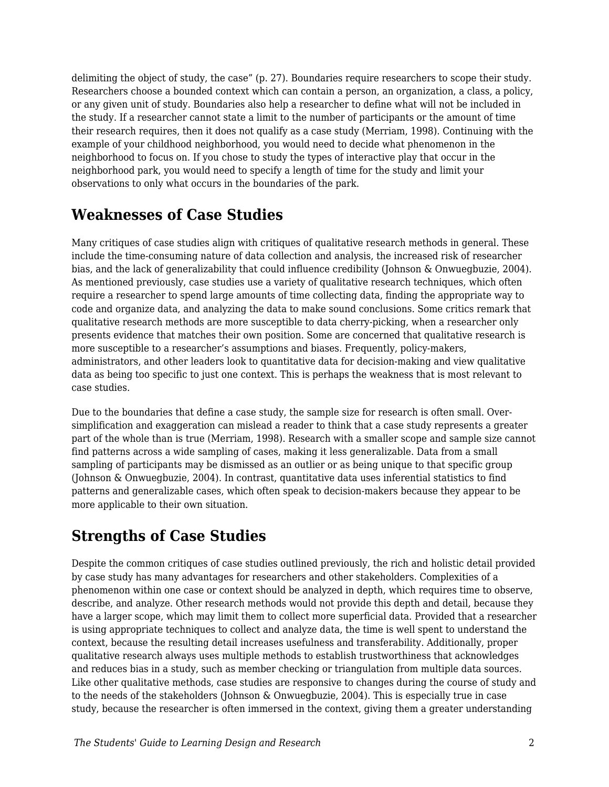delimiting the object of study, the case" (p. 27). Boundaries require researchers to scope their study. Researchers choose a bounded context which can contain a person, an organization, a class, a policy, or any given unit of study. Boundaries also help a researcher to define what will not be included in the study. If a researcher cannot state a limit to the number of participants or the amount of time their research requires, then it does not qualify as a case study (Merriam, 1998). Continuing with the example of your childhood neighborhood, you would need to decide what phenomenon in the neighborhood to focus on. If you chose to study the types of interactive play that occur in the neighborhood park, you would need to specify a length of time for the study and limit your observations to only what occurs in the boundaries of the park.

# **Weaknesses of Case Studies**

Many critiques of case studies align with critiques of qualitative research methods in general. These include the time-consuming nature of data collection and analysis, the increased risk of researcher bias, and the lack of generalizability that could influence credibility (Johnson & Onwuegbuzie, 2004). As mentioned previously, case studies use a variety of qualitative research techniques, which often require a researcher to spend large amounts of time collecting data, finding the appropriate way to code and organize data, and analyzing the data to make sound conclusions. Some critics remark that qualitative research methods are more susceptible to data cherry-picking, when a researcher only presents evidence that matches their own position. Some are concerned that qualitative research is more susceptible to a researcher's assumptions and biases. Frequently, policy-makers, administrators, and other leaders look to quantitative data for decision-making and view qualitative data as being too specific to just one context. This is perhaps the weakness that is most relevant to case studies.

Due to the boundaries that define a case study, the sample size for research is often small. Oversimplification and exaggeration can mislead a reader to think that a case study represents a greater part of the whole than is true (Merriam, 1998). Research with a smaller scope and sample size cannot find patterns across a wide sampling of cases, making it less generalizable. Data from a small sampling of participants may be dismissed as an outlier or as being unique to that specific group (Johnson & Onwuegbuzie, 2004). In contrast, quantitative data uses inferential statistics to find patterns and generalizable cases, which often speak to decision-makers because they appear to be more applicable to their own situation.

# **Strengths of Case Studies**

Despite the common critiques of case studies outlined previously, the rich and holistic detail provided by case study has many advantages for researchers and other stakeholders. Complexities of a phenomenon within one case or context should be analyzed in depth, which requires time to observe, describe, and analyze. Other research methods would not provide this depth and detail, because they have a larger scope, which may limit them to collect more superficial data. Provided that a researcher is using appropriate techniques to collect and analyze data, the time is well spent to understand the context, because the resulting detail increases usefulness and transferability. Additionally, proper qualitative research always uses multiple methods to establish trustworthiness that acknowledges and reduces bias in a study, such as member checking or triangulation from multiple data sources. Like other qualitative methods, case studies are responsive to changes during the course of study and to the needs of the stakeholders (Johnson & Onwuegbuzie, 2004). This is especially true in case study, because the researcher is often immersed in the context, giving them a greater understanding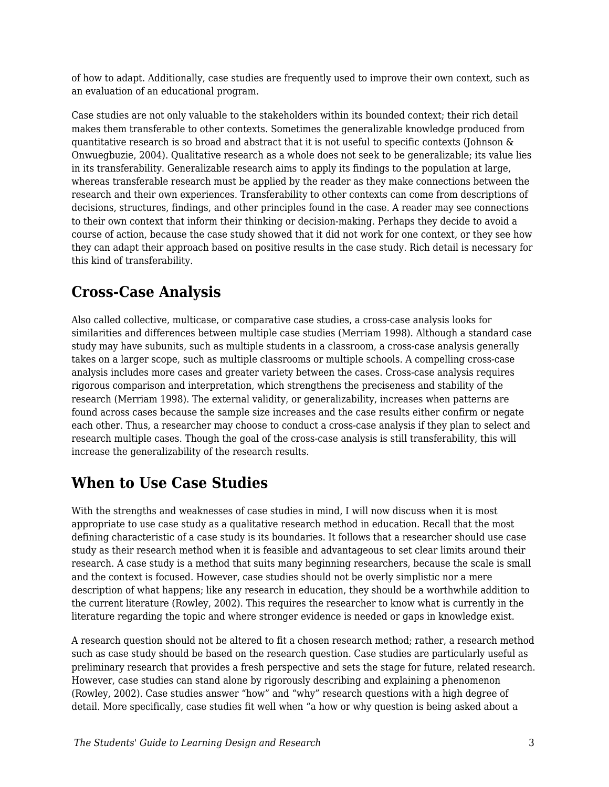of how to adapt. Additionally, case studies are frequently used to improve their own context, such as an evaluation of an educational program.

Case studies are not only valuable to the stakeholders within its bounded context; their rich detail makes them transferable to other contexts. Sometimes the generalizable knowledge produced from quantitative research is so broad and abstract that it is not useful to specific contexts (Johnson  $\&$ Onwuegbuzie, 2004). Qualitative research as a whole does not seek to be generalizable; its value lies in its transferability. Generalizable research aims to apply its findings to the population at large, whereas transferable research must be applied by the reader as they make connections between the research and their own experiences. Transferability to other contexts can come from descriptions of decisions, structures, findings, and other principles found in the case. A reader may see connections to their own context that inform their thinking or decision-making. Perhaps they decide to avoid a course of action, because the case study showed that it did not work for one context, or they see how they can adapt their approach based on positive results in the case study. Rich detail is necessary for this kind of transferability.

# **Cross-Case Analysis**

Also called collective, multicase, or comparative case studies, a cross-case analysis looks for similarities and differences between multiple case studies (Merriam 1998). Although a standard case study may have subunits, such as multiple students in a classroom, a cross-case analysis generally takes on a larger scope, such as multiple classrooms or multiple schools. A compelling cross-case analysis includes more cases and greater variety between the cases. Cross-case analysis requires rigorous comparison and interpretation, which strengthens the preciseness and stability of the research (Merriam 1998). The external validity, or generalizability, increases when patterns are found across cases because the sample size increases and the case results either confirm or negate each other. Thus, a researcher may choose to conduct a cross-case analysis if they plan to select and research multiple cases. Though the goal of the cross-case analysis is still transferability, this will increase the generalizability of the research results.

# **When to Use Case Studies**

With the strengths and weaknesses of case studies in mind, I will now discuss when it is most appropriate to use case study as a qualitative research method in education. Recall that the most defining characteristic of a case study is its boundaries. It follows that a researcher should use case study as their research method when it is feasible and advantageous to set clear limits around their research. A case study is a method that suits many beginning researchers, because the scale is small and the context is focused. However, case studies should not be overly simplistic nor a mere description of what happens; like any research in education, they should be a worthwhile addition to the current literature (Rowley, 2002). This requires the researcher to know what is currently in the literature regarding the topic and where stronger evidence is needed or gaps in knowledge exist.

A research question should not be altered to fit a chosen research method; rather, a research method such as case study should be based on the research question. Case studies are particularly useful as preliminary research that provides a fresh perspective and sets the stage for future, related research. However, case studies can stand alone by rigorously describing and explaining a phenomenon (Rowley, 2002). Case studies answer "how" and "why" research questions with a high degree of detail. More specifically, case studies fit well when "a how or why question is being asked about a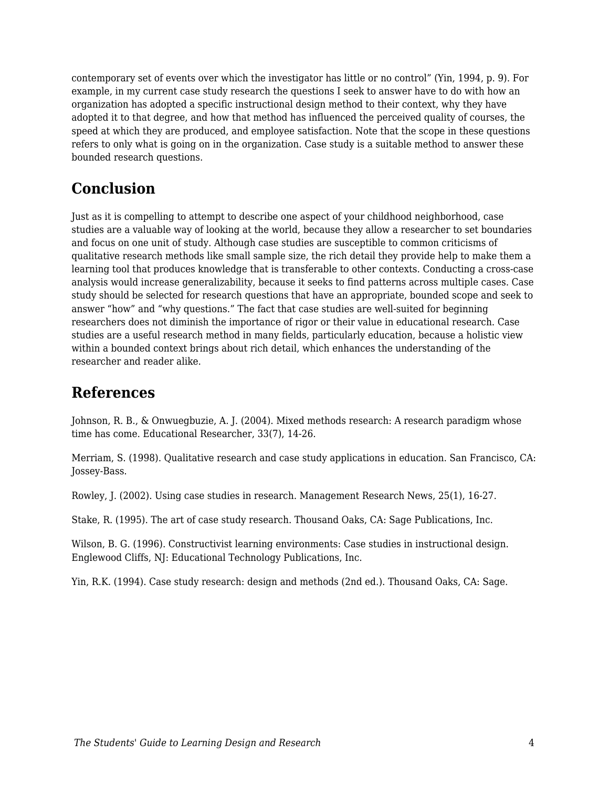contemporary set of events over which the investigator has little or no control" (Yin, 1994, p. 9). For example, in my current case study research the questions I seek to answer have to do with how an organization has adopted a specific instructional design method to their context, why they have adopted it to that degree, and how that method has influenced the perceived quality of courses, the speed at which they are produced, and employee satisfaction. Note that the scope in these questions refers to only what is going on in the organization. Case study is a suitable method to answer these bounded research questions.

# **Conclusion**

Just as it is compelling to attempt to describe one aspect of your childhood neighborhood, case studies are a valuable way of looking at the world, because they allow a researcher to set boundaries and focus on one unit of study. Although case studies are susceptible to common criticisms of qualitative research methods like small sample size, the rich detail they provide help to make them a learning tool that produces knowledge that is transferable to other contexts. Conducting a cross-case analysis would increase generalizability, because it seeks to find patterns across multiple cases. Case study should be selected for research questions that have an appropriate, bounded scope and seek to answer "how" and "why questions." The fact that case studies are well-suited for beginning researchers does not diminish the importance of rigor or their value in educational research. Case studies are a useful research method in many fields, particularly education, because a holistic view within a bounded context brings about rich detail, which enhances the understanding of the researcher and reader alike.

### **References**

Johnson, R. B., & Onwuegbuzie, A. J. (2004). Mixed methods research: A research paradigm whose time has come. Educational Researcher, 33(7), 14-26.

Merriam, S. (1998). Qualitative research and case study applications in education. San Francisco, CA: Jossey-Bass.

Rowley, J. (2002). Using case studies in research. Management Research News, 25(1), 16-27.

Stake, R. (1995). The art of case study research. Thousand Oaks, CA: Sage Publications, Inc.

Wilson, B. G. (1996). Constructivist learning environments: Case studies in instructional design. Englewood Cliffs, NJ: Educational Technology Publications, Inc.

Yin, R.K. (1994). Case study research: design and methods (2nd ed.). Thousand Oaks, CA: Sage.